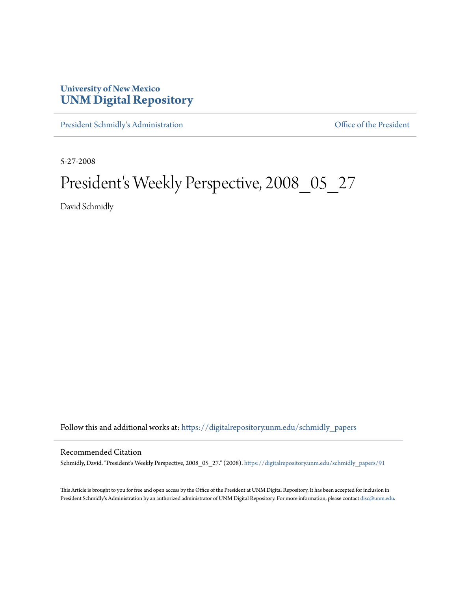## **University of New Mexico [UNM Digital Repository](https://digitalrepository.unm.edu?utm_source=digitalrepository.unm.edu%2Fschmidly_papers%2F91&utm_medium=PDF&utm_campaign=PDFCoverPages)**

[President Schmidly's Administration](https://digitalrepository.unm.edu/schmidly_papers?utm_source=digitalrepository.unm.edu%2Fschmidly_papers%2F91&utm_medium=PDF&utm_campaign=PDFCoverPages) [Office of the President](https://digitalrepository.unm.edu/ofc_president?utm_source=digitalrepository.unm.edu%2Fschmidly_papers%2F91&utm_medium=PDF&utm_campaign=PDFCoverPages)

5-27-2008

## President's Weekly Perspective, 2008\_05\_27

David Schmidly

Follow this and additional works at: [https://digitalrepository.unm.edu/schmidly\\_papers](https://digitalrepository.unm.edu/schmidly_papers?utm_source=digitalrepository.unm.edu%2Fschmidly_papers%2F91&utm_medium=PDF&utm_campaign=PDFCoverPages)

## Recommended Citation

Schmidly, David. "President's Weekly Perspective, 2008\_05\_27." (2008). [https://digitalrepository.unm.edu/schmidly\\_papers/91](https://digitalrepository.unm.edu/schmidly_papers/91?utm_source=digitalrepository.unm.edu%2Fschmidly_papers%2F91&utm_medium=PDF&utm_campaign=PDFCoverPages)

This Article is brought to you for free and open access by the Office of the President at UNM Digital Repository. It has been accepted for inclusion in President Schmidly's Administration by an authorized administrator of UNM Digital Repository. For more information, please contact [disc@unm.edu](mailto:disc@unm.edu).